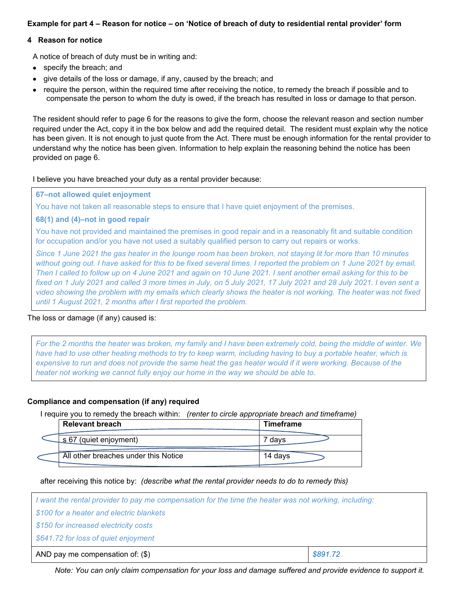# **Example for part 4 – Reason for notice – on 'Notice of breach of duty to residential rental provider' form**

#### **4 Reason for notice**

A notice of breach of duty must be in writing and:

- specify the breach; and
- give details of the loss or damage, if any, caused by the breach; and
- require the person, within the required time after receiving the notice, to remedy the breach if possible and to compensate the person to whom the duty is owed, if the breach has resulted in loss or damage to that person.

The resident should refer to page 6 for the reasons to give the form, choose the relevant reason and section number required under the Act, copy it in the box below and add the required detail. The resident must explain why the notice has been given. It is not enough to just quote from the Act. There must be enough information for the rental provider to understand why the notice has been given. Information to help explain the reasoning behind the notice has been provided on page 6.

I believe you have breached your duty as a rental provider because:

#### **67–not allowed quiet enjoyment**

You have not taken all reasonable steps to ensure that I have quiet enjoyment of the premises.

## **68(1) and (4)–not in good repair**

You have not provided and maintained the premises in good repair and in a reasonably fit and suitable condition for occupation and/or you have not used a suitably qualified person to carry out repairs or works.

*Since 1 June 2021 the gas heater in the lounge room has been broken, not staying lit for more than 10 minutes without going out. I have asked for this to be fixed several times. I reported the problem on 1 June 2021 by email. Then I called to follow up on 4 June 2021 and again on 10 June 2021. I sent another email asking for this to be fixed on 1 July 2021 and called 3 more times in July, on 5 July 2021, 17 July 2021 and 28 July 2021. I even sent a video showing the problem with my emails which clearly shows the heater is not working. The heater was not fixed until 1 August 2021, 2 months after I first reported the problem.*

## The loss or damage (if any) caused is:

*For the 2 months the heater was broken, my family and I have been extremely cold, being the middle of winter. We have had to use other heating methods to try to keep warm, including having to buy a portable heater, which is expensive to run and does not provide the same heat the gas heater would if it were working. Because of the heater not working we cannot fully enjoy our home in the way we should be able to.*

## **Compliance and compensation (if any) required**

I require you to remedy the breach within: *(renter to circle appropriate breach and timeframe)*

| <b>Relevant breach</b>               | <b>Timeframe</b> |
|--------------------------------------|------------------|
| $\frac{1}{2}$ 67 (quiet enjoyment)   | davs             |
| All other breaches under this Notice | 14 davs          |

after receiving this notice by: *(describe what the rental provider needs to do to remedy this)*

| I want the rental provider to pay me compensation for the time the heater was not working, including: |          |  |  |
|-------------------------------------------------------------------------------------------------------|----------|--|--|
| \$100 for a heater and electric blankets                                                              |          |  |  |
| \$150 for increased electricity costs                                                                 |          |  |  |
| \$641.72 for loss of quiet enjoyment                                                                  |          |  |  |
| AND pay me compensation of: $(\$)$                                                                    | \$891.72 |  |  |

*Note: You can only claim compensation for your loss and damage suffered and provide evidence to support it.*